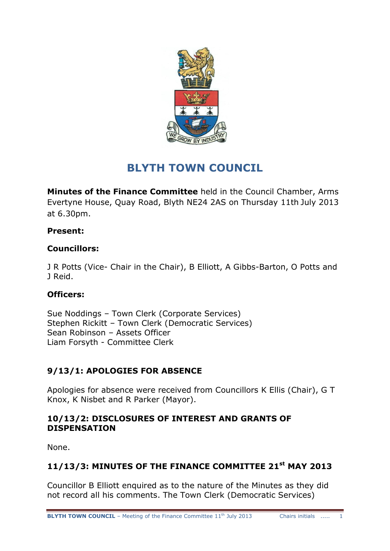

# **BLYTH TOWN COUNCIL**

**Minutes of the Finance Committee** held in the Council Chamber, Arms Evertyne House, Quay Road, Blyth NE24 2AS on Thursday 11th July 2013 at 6.30pm.

## **Present:**

# **Councillors:**

J R Potts (Vice- Chair in the Chair), B Elliott, A Gibbs-Barton, O Potts and J Reid.

# **Officers:**

Sue Noddings – Town Clerk (Corporate Services) Stephen Rickitt – Town Clerk (Democratic Services) Sean Robinson – Assets Officer Liam Forsyth - Committee Clerk

# **9/13/1: APOLOGIES FOR ABSENCE**

Apologies for absence were received from Councillors K Ellis (Chair), G T Knox, K Nisbet and R Parker (Mayor).

## **10/13/2: DISCLOSURES OF INTEREST AND GRANTS OF DISPENSATION**

None.

# **11/13/3: MINUTES OF THE FINANCE COMMITTEE 21st MAY 2013**

Councillor B Elliott enquired as to the nature of the Minutes as they did not record all his comments. The Town Clerk (Democratic Services)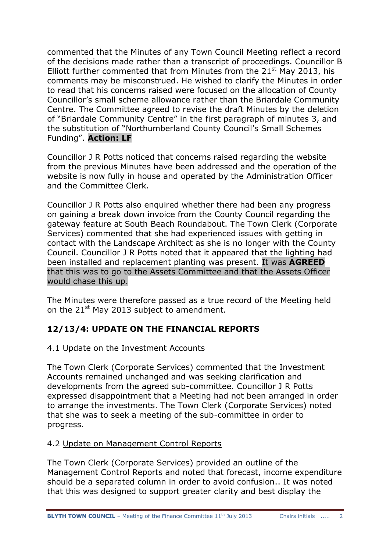commented that the Minutes of any Town Council Meeting reflect a record of the decisions made rather than a transcript of proceedings. Councillor B Elliott further commented that from Minutes from the  $21<sup>st</sup>$  May 2013, his comments may be misconstrued. He wished to clarify the Minutes in order to read that his concerns raised were focused on the allocation of County Councillor's small scheme allowance rather than the Briardale Community Centre. The Committee agreed to revise the draft Minutes by the deletion of "Briardale Community Centre" in the first paragraph of minutes 3, and the substitution of "Northumberland County Council's Small Schemes Funding". **Action: LF**

Councillor J R Potts noticed that concerns raised regarding the website from the previous Minutes have been addressed and the operation of the website is now fully in house and operated by the Administration Officer and the Committee Clerk.

Councillor J R Potts also enquired whether there had been any progress on gaining a break down invoice from the County Council regarding the gateway feature at South Beach Roundabout. The Town Clerk (Corporate Services) commented that she had experienced issues with getting in contact with the Landscape Architect as she is no longer with the County Council. Councillor J R Potts noted that it appeared that the lighting had been installed and replacement planting was present. It was **AGREED**  that this was to go to the Assets Committee and that the Assets Officer would chase this up.

The Minutes were therefore passed as a true record of the Meeting held on the  $21^{st}$  May 2013 subject to amendment.

# **12/13/4: UPDATE ON THE FINANCIAL REPORTS**

## 4.1 Update on the Investment Accounts

The Town Clerk (Corporate Services) commented that the Investment Accounts remained unchanged and was seeking clarification and developments from the agreed sub-committee. Councillor J R Potts expressed disappointment that a Meeting had not been arranged in order to arrange the investments. The Town Clerk (Corporate Services) noted that she was to seek a meeting of the sub-committee in order to progress.

#### 4.2 Update on Management Control Reports

The Town Clerk (Corporate Services) provided an outline of the Management Control Reports and noted that forecast, income expenditure should be a separated column in order to avoid confusion.. It was noted that this was designed to support greater clarity and best display the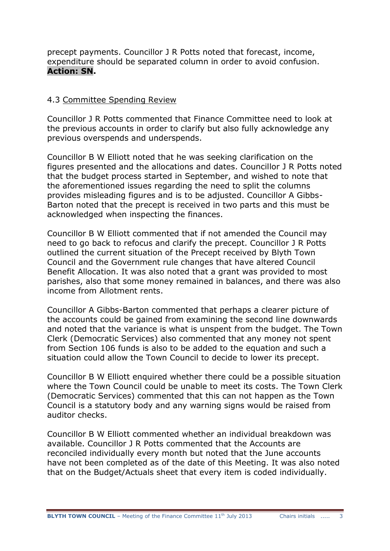precept payments. Councillor J R Potts noted that forecast, income, expenditure should be separated column in order to avoid confusion. **Action: SN.**

#### 4.3 Committee Spending Review

Councillor J R Potts commented that Finance Committee need to look at the previous accounts in order to clarify but also fully acknowledge any previous overspends and underspends.

Councillor B W Elliott noted that he was seeking clarification on the figures presented and the allocations and dates. Councillor J R Potts noted that the budget process started in September, and wished to note that the aforementioned issues regarding the need to split the columns provides misleading figures and is to be adjusted. Councillor A Gibbs-Barton noted that the precept is received in two parts and this must be acknowledged when inspecting the finances.

Councillor B W Elliott commented that if not amended the Council may need to go back to refocus and clarify the precept. Councillor J R Potts outlined the current situation of the Precept received by Blyth Town Council and the Government rule changes that have altered Council Benefit Allocation. It was also noted that a grant was provided to most parishes, also that some money remained in balances, and there was also income from Allotment rents.

Councillor A Gibbs-Barton commented that perhaps a clearer picture of the accounts could be gained from examining the second line downwards and noted that the variance is what is unspent from the budget. The Town Clerk (Democratic Services) also commented that any money not spent from Section 106 funds is also to be added to the equation and such a situation could allow the Town Council to decide to lower its precept.

Councillor B W Elliott enquired whether there could be a possible situation where the Town Council could be unable to meet its costs. The Town Clerk (Democratic Services) commented that this can not happen as the Town Council is a statutory body and any warning signs would be raised from auditor checks.

Councillor B W Elliott commented whether an individual breakdown was available. Councillor J R Potts commented that the Accounts are reconciled individually every month but noted that the June accounts have not been completed as of the date of this Meeting. It was also noted that on the Budget/Actuals sheet that every item is coded individually.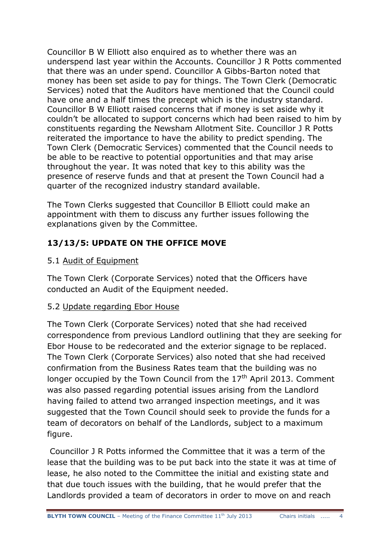Councillor B W Elliott also enquired as to whether there was an underspend last year within the Accounts. Councillor J R Potts commented that there was an under spend. Councillor A Gibbs-Barton noted that money has been set aside to pay for things. The Town Clerk (Democratic Services) noted that the Auditors have mentioned that the Council could have one and a half times the precept which is the industry standard. Councillor B W Elliott raised concerns that if money is set aside why it couldn't be allocated to support concerns which had been raised to him by constituents regarding the Newsham Allotment Site. Councillor J R Potts reiterated the importance to have the ability to predict spending. The Town Clerk (Democratic Services) commented that the Council needs to be able to be reactive to potential opportunities and that may arise throughout the year. It was noted that key to this ability was the presence of reserve funds and that at present the Town Council had a quarter of the recognized industry standard available.

The Town Clerks suggested that Councillor B Elliott could make an appointment with them to discuss any further issues following the explanations given by the Committee.

# **13/13/5: UPDATE ON THE OFFICE MOVE**

## 5.1 Audit of Equipment

The Town Clerk (Corporate Services) noted that the Officers have conducted an Audit of the Equipment needed.

## 5.2 Update regarding Ebor House

The Town Clerk (Corporate Services) noted that she had received correspondence from previous Landlord outlining that they are seeking for Ebor House to be redecorated and the exterior signage to be replaced. The Town Clerk (Corporate Services) also noted that she had received confirmation from the Business Rates team that the building was no longer occupied by the Town Council from the  $17<sup>th</sup>$  April 2013. Comment was also passed regarding potential issues arising from the Landlord having failed to attend two arranged inspection meetings, and it was suggested that the Town Council should seek to provide the funds for a team of decorators on behalf of the Landlords, subject to a maximum figure.

Councillor J R Potts informed the Committee that it was a term of the lease that the building was to be put back into the state it was at time of lease, he also noted to the Committee the initial and existing state and that due touch issues with the building, that he would prefer that the Landlords provided a team of decorators in order to move on and reach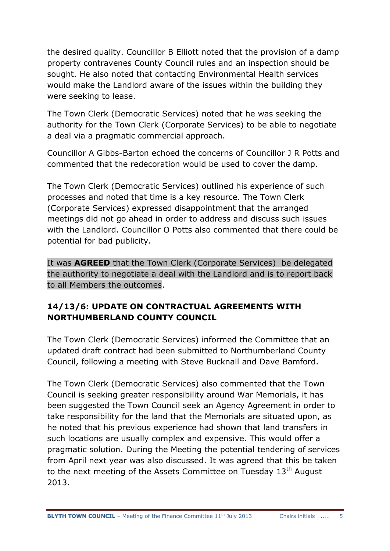the desired quality. Councillor B Elliott noted that the provision of a damp property contravenes County Council rules and an inspection should be sought. He also noted that contacting Environmental Health services would make the Landlord aware of the issues within the building they were seeking to lease.

The Town Clerk (Democratic Services) noted that he was seeking the authority for the Town Clerk (Corporate Services) to be able to negotiate a deal via a pragmatic commercial approach.

Councillor A Gibbs-Barton echoed the concerns of Councillor J R Potts and commented that the redecoration would be used to cover the damp.

The Town Clerk (Democratic Services) outlined his experience of such processes and noted that time is a key resource. The Town Clerk (Corporate Services) expressed disappointment that the arranged meetings did not go ahead in order to address and discuss such issues with the Landlord. Councillor O Potts also commented that there could be potential for bad publicity.

It was **AGREED** that the Town Clerk (Corporate Services) be delegated the authority to negotiate a deal with the Landlord and is to report back to all Members the outcomes.

# **14/13/6: UPDATE ON CONTRACTUAL AGREEMENTS WITH NORTHUMBERLAND COUNTY COUNCIL**

The Town Clerk (Democratic Services) informed the Committee that an updated draft contract had been submitted to Northumberland County Council, following a meeting with Steve Bucknall and Dave Bamford.

The Town Clerk (Democratic Services) also commented that the Town Council is seeking greater responsibility around War Memorials, it has been suggested the Town Council seek an Agency Agreement in order to take responsibility for the land that the Memorials are situated upon, as he noted that his previous experience had shown that land transfers in such locations are usually complex and expensive. This would offer a pragmatic solution. During the Meeting the potential tendering of services from April next year was also discussed. It was agreed that this be taken to the next meeting of the Assets Committee on Tuesday  $13<sup>th</sup>$  August 2013.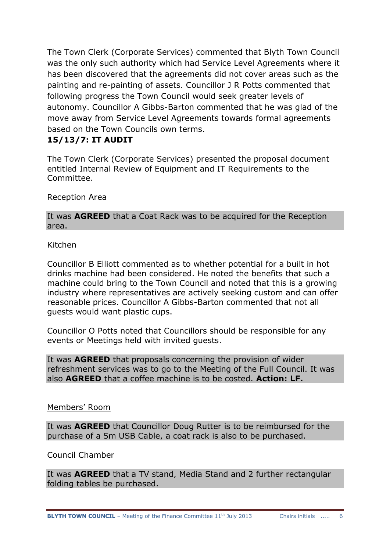The Town Clerk (Corporate Services) commented that Blyth Town Council was the only such authority which had Service Level Agreements where it has been discovered that the agreements did not cover areas such as the painting and re-painting of assets. Councillor J R Potts commented that following progress the Town Council would seek greater levels of autonomy. Councillor A Gibbs-Barton commented that he was glad of the move away from Service Level Agreements towards formal agreements based on the Town Councils own terms.

## **15/13/7: IT AUDIT**

The Town Clerk (Corporate Services) presented the proposal document entitled Internal Review of Equipment and IT Requirements to the Committee.

#### Reception Area

It was **AGREED** that a Coat Rack was to be acquired for the Reception area.

#### Kitchen

Councillor B Elliott commented as to whether potential for a built in hot drinks machine had been considered. He noted the benefits that such a machine could bring to the Town Council and noted that this is a growing industry where representatives are actively seeking custom and can offer reasonable prices. Councillor A Gibbs-Barton commented that not all guests would want plastic cups.

Councillor O Potts noted that Councillors should be responsible for any events or Meetings held with invited guests.

It was **AGREED** that proposals concerning the provision of wider refreshment services was to go to the Meeting of the Full Council. It was also **AGREED** that a coffee machine is to be costed. **Action: LF.**

#### Members' Room

It was **AGREED** that Councillor Doug Rutter is to be reimbursed for the purchase of a 5m USB Cable, a coat rack is also to be purchased.

#### Council Chamber

It was **AGREED** that a TV stand, Media Stand and 2 further rectangular folding tables be purchased.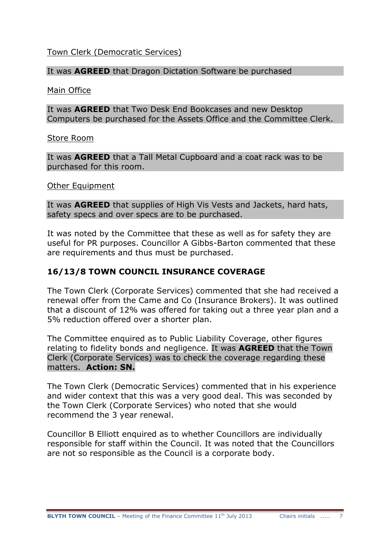#### Town Clerk (Democratic Services)

#### It was **AGREED** that Dragon Dictation Software be purchased

Main Office

It was **AGREED** that Two Desk End Bookcases and new Desktop Computers be purchased for the Assets Office and the Committee Clerk.

Store Room

It was **AGREED** that a Tall Metal Cupboard and a coat rack was to be purchased for this room.

Other Equipment

It was **AGREED** that supplies of High Vis Vests and Jackets, hard hats, safety specs and over specs are to be purchased.

It was noted by the Committee that these as well as for safety they are useful for PR purposes. Councillor A Gibbs-Barton commented that these are requirements and thus must be purchased.

### **16/13/8 TOWN COUNCIL INSURANCE COVERAGE**

The Town Clerk (Corporate Services) commented that she had received a renewal offer from the Came and Co (Insurance Brokers). It was outlined that a discount of 12% was offered for taking out a three year plan and a 5% reduction offered over a shorter plan.

The Committee enquired as to Public Liability Coverage, other figures relating to fidelity bonds and negligence. It was **AGREED** that the Town Clerk (Corporate Services) was to check the coverage regarding these matters. **Action: SN.**

The Town Clerk (Democratic Services) commented that in his experience and wider context that this was a very good deal. This was seconded by the Town Clerk (Corporate Services) who noted that she would recommend the 3 year renewal.

Councillor B Elliott enquired as to whether Councillors are individually responsible for staff within the Council. It was noted that the Councillors are not so responsible as the Council is a corporate body.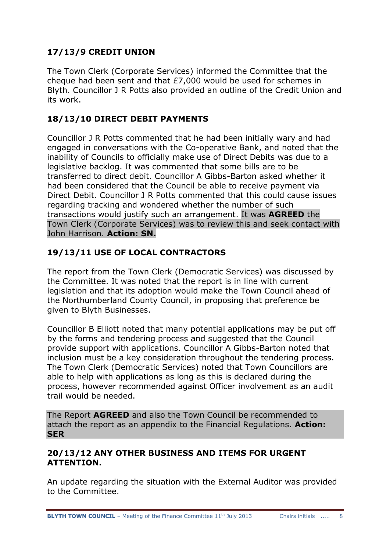# **17/13/9 CREDIT UNION**

The Town Clerk (Corporate Services) informed the Committee that the cheque had been sent and that £7,000 would be used for schemes in Blyth. Councillor J R Potts also provided an outline of the Credit Union and its work.

# **18/13/10 DIRECT DEBIT PAYMENTS**

Councillor J R Potts commented that he had been initially wary and had engaged in conversations with the Co-operative Bank, and noted that the inability of Councils to officially make use of Direct Debits was due to a legislative backlog. It was commented that some bills are to be transferred to direct debit. Councillor A Gibbs-Barton asked whether it had been considered that the Council be able to receive payment via Direct Debit. Councillor J R Potts commented that this could cause issues regarding tracking and wondered whether the number of such transactions would justify such an arrangement. It was **AGREED** the Town Clerk (Corporate Services) was to review this and seek contact with John Harrison. **Action: SN.**

# **19/13/11 USE OF LOCAL CONTRACTORS**

The report from the Town Clerk (Democratic Services) was discussed by the Committee. It was noted that the report is in line with current legislation and that its adoption would make the Town Council ahead of the Northumberland County Council, in proposing that preference be given to Blyth Businesses.

Councillor B Elliott noted that many potential applications may be put off by the forms and tendering process and suggested that the Council provide support with applications. Councillor A Gibbs-Barton noted that inclusion must be a key consideration throughout the tendering process. The Town Clerk (Democratic Services) noted that Town Councillors are able to help with applications as long as this is declared during the process, however recommended against Officer involvement as an audit trail would be needed.

The Report **AGREED** and also the Town Council be recommended to attach the report as an appendix to the Financial Regulations. **Action: SER**

## **20/13/12 ANY OTHER BUSINESS AND ITEMS FOR URGENT ATTENTION.**

An update regarding the situation with the External Auditor was provided to the Committee.